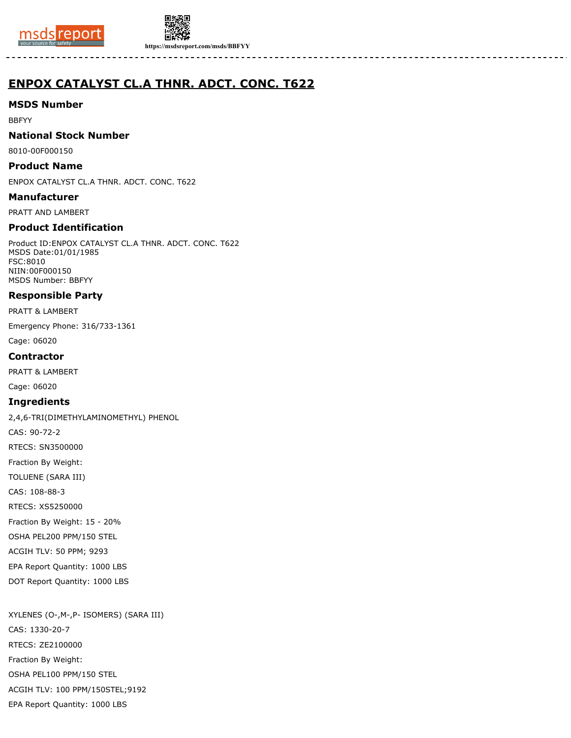



**https://msdsreport.com/msds/BBFYY**

# **ENPOX CATALYST CL.A THNR. ADCT. CONC. T622**

## **MSDS Number**

BBFYY

## **National Stock Number**

8010-00F000150

## **Product Name**

ENPOX CATALYST CL.A THNR. ADCT. CONC. T622

## **Manufacturer**

PRATT AND LAMBERT

## **Product Identification**

Product ID:ENPOX CATALYST CL.A THNR. ADCT. CONC. T622 MSDS Date:01/01/1985 FSC:8010 NIIN:00F000150 MSDS Number: BBFYY

## **Responsible Party**

PRATT & LAMBERT

Emergency Phone: 316/733-1361

Cage: 06020

## **Contractor**

PRATT & LAMBERT

Cage: 06020

## **Ingredients**

2,4,6-TRI(DIMETHYLAMINOMETHYL) PHENOL

CAS: 90-72-2

RTECS: SN3500000

Fraction By Weight:

TOLUENE (SARA III)

CAS: 108-88-3

RTECS: XS5250000

Fraction By Weight: 15 - 20%

OSHA PEL200 PPM/150 STEL

ACGIH TLV: 50 PPM; 9293

EPA Report Quantity: 1000 LBS

DOT Report Quantity: 1000 LBS

XYLENES (O-,M-,P- ISOMERS) (SARA III) CAS: 1330-20-7 RTECS: ZE2100000 Fraction By Weight: OSHA PEL100 PPM/150 STEL ACGIH TLV: 100 PPM/150STEL;9192 EPA Report Quantity: 1000 LBS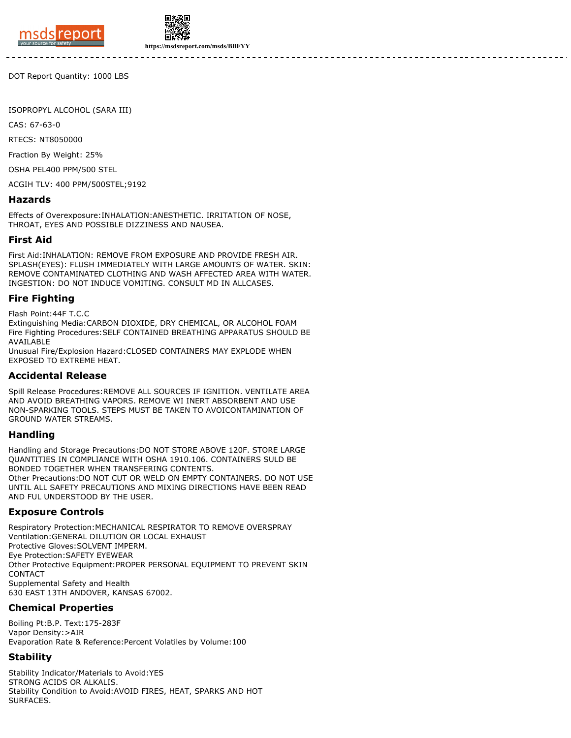

**https://msdsreport.com/msds/BBFYY**

DOT Report Quantity: 1000 LBS

ISOPROPYL ALCOHOL (SARA III)

CAS: 67-63-0

RTECS: NT8050000

Fraction By Weight: 25%

OSHA PEL400 PPM/500 STEL

ACGIH TLV: 400 PPM/500STEL;9192

#### **Hazards**

Effects of Overexposure:INHALATION:ANESTHETIC. IRRITATION OF NOSE, THROAT, EYES AND POSSIBLE DIZZINESS AND NAUSEA.

#### **First Aid**

First Aid:INHALATION: REMOVE FROM EXPOSURE AND PROVIDE FRESH AIR. SPLASH(EYES): FLUSH IMMEDIATELY WITH LARGE AMOUNTS OF WATER. SKIN: REMOVE CONTAMINATED CLOTHING AND WASH AFFECTED AREA WITH WATER. INGESTION: DO NOT INDUCE VOMITING. CONSULT MD IN ALLCASES.

#### **Fire Fighting**

Flash Point:44F T.C.C

Extinguishing Media:CARBON DIOXIDE, DRY CHEMICAL, OR ALCOHOL FOAM Fire Fighting Procedures:SELF CONTAINED BREATHING APPARATUS SHOULD BE AVAILABLE

Unusual Fire/Explosion Hazard:CLOSED CONTAINERS MAY EXPLODE WHEN EXPOSED TO EXTREME HEAT.

#### **Accidental Release**

Spill Release Procedures:REMOVE ALL SOURCES IF IGNITION. VENTILATE AREA AND AVOID BREATHING VAPORS. REMOVE WI INERT ABSORBENT AND USE NON-SPARKING TOOLS. STEPS MUST BE TAKEN TO AVOICONTAMINATION OF GROUND WATER STREAMS.

#### **Handling**

Handling and Storage Precautions:DO NOT STORE ABOVE 120F. STORE LARGE QUANTITIES IN COMPLIANCE WITH OSHA 1910.106. CONTAINERS SULD BE BONDED TOGETHER WHEN TRANSFERING CONTENTS. Other Precautions:DO NOT CUT OR WELD ON EMPTY CONTAINERS. DO NOT USE UNTIL ALL SAFETY PRECAUTIONS AND MIXING DIRECTIONS HAVE BEEN READ AND FUL UNDERSTOOD BY THE USER.

#### **Exposure Controls**

Respiratory Protection:MECHANICAL RESPIRATOR TO REMOVE OVERSPRAY Ventilation:GENERAL DILUTION OR LOCAL EXHAUST Protective Gloves:SOLVENT IMPERM. Eye Protection:SAFETY EYEWEAR Other Protective Equipment:PROPER PERSONAL EQUIPMENT TO PREVENT SKIN CONTACT Supplemental Safety and Health 630 EAST 13TH ANDOVER, KANSAS 67002.

## **Chemical Properties**

Boiling Pt:B.P. Text:175-283F Vapor Density:>AIR Evaporation Rate & Reference:Percent Volatiles by Volume:100

## **Stability**

Stability Indicator/Materials to Avoid:YES STRONG ACIDS OR ALKALIS. Stability Condition to Avoid:AVOID FIRES, HEAT, SPARKS AND HOT SURFACES.